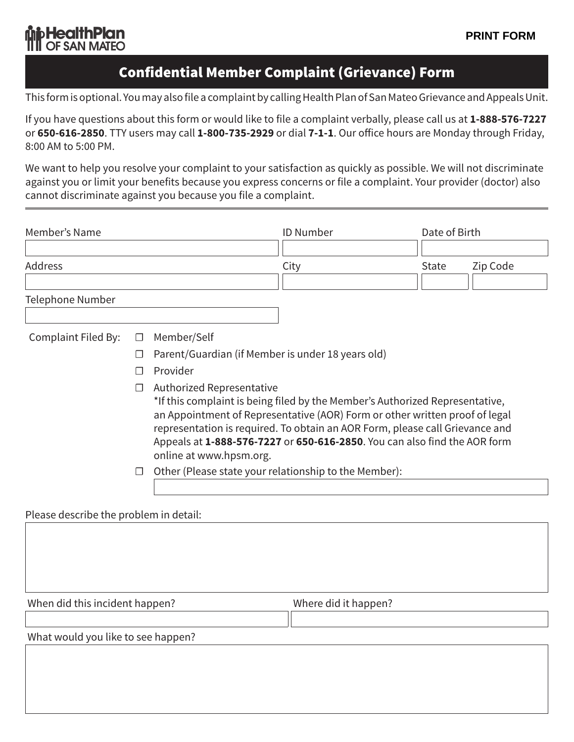## **bHealthPlan ITII OF SAN MATEO**

## Confidential Member Complaint (Grievance) Form

This form is optional. You may also file a complaint by calling Health Plan of San Mateo Grievance and Appeals Unit.

If you have questions about this form or would like to file a complaint verbally, please call us at **1-888-576-7227** or **650-616-2850**. TTY users may call **1-800-735-2929** or dial **7-1-1**. Our office hours are Monday through Friday, 8:00 AM to 5:00 PM.

We want to help you resolve your complaint to your satisfaction as quickly as possible. We will not discriminate against you or limit your benefits because you express concerns or file a complaint. Your provider (doctor) also cannot discriminate against you because you file a complaint.

| Member's Name                          |         |                                                                                                                                                                                                                                                                                                                                                                                  | <b>ID Number</b> | Date of Birth |          |  |
|----------------------------------------|---------|----------------------------------------------------------------------------------------------------------------------------------------------------------------------------------------------------------------------------------------------------------------------------------------------------------------------------------------------------------------------------------|------------------|---------------|----------|--|
| Address                                |         |                                                                                                                                                                                                                                                                                                                                                                                  | City             | <b>State</b>  | Zip Code |  |
| Telephone Number                       |         |                                                                                                                                                                                                                                                                                                                                                                                  |                  |               |          |  |
| Complaint Filed By:                    | $\Box$  | Member/Self                                                                                                                                                                                                                                                                                                                                                                      |                  |               |          |  |
|                                        | $\perp$ | Parent/Guardian (if Member is under 18 years old)                                                                                                                                                                                                                                                                                                                                |                  |               |          |  |
|                                        | П       | Provider                                                                                                                                                                                                                                                                                                                                                                         |                  |               |          |  |
|                                        | $\Box$  | Authorized Representative<br>*If this complaint is being filed by the Member's Authorized Representative,<br>an Appointment of Representative (AOR) Form or other written proof of legal<br>representation is required. To obtain an AOR Form, please call Grievance and<br>Appeals at 1-888-576-7227 or 650-616-2850. You can also find the AOR form<br>online at www.hpsm.org. |                  |               |          |  |
|                                        | $\Box$  | Other (Please state your relationship to the Member):                                                                                                                                                                                                                                                                                                                            |                  |               |          |  |
| Please describe the problem in detail: |         |                                                                                                                                                                                                                                                                                                                                                                                  |                  |               |          |  |

Please describe the problem in detail:

When did this incident happen?<br>
Where did it happen?

What would you like to see happen?